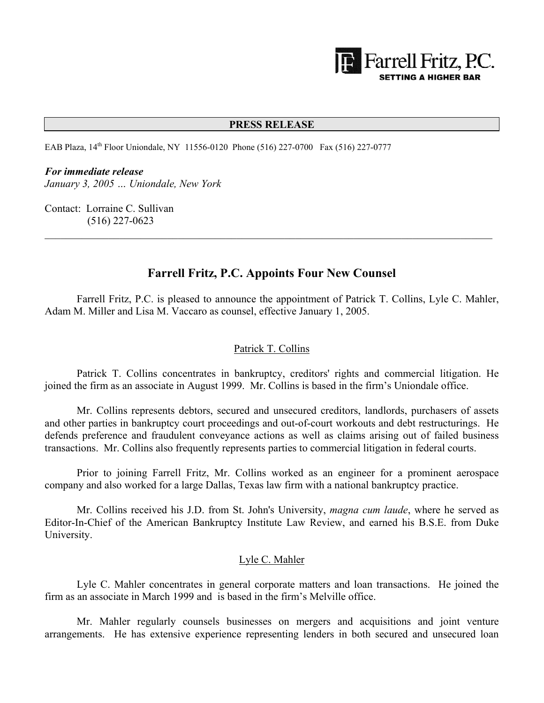

#### **PRESS RELEASE**

EAB Plaza, 14<sup>th</sup> Floor Uniondale, NY 11556-0120 Phone (516) 227-0700 Fax (516) 227-0777

#### *For immediate release*

*January 3, 2005 … Uniondale, New York*

Contact: Lorraine C. Sullivan (516) 227-0623

# **Farrell Fritz, P.C. Appoints Four New Counsel**

 $\mathcal{L}_\text{max} = \frac{1}{2} \sum_{i=1}^n \mathcal{L}_\text{max}(\mathbf{x}_i - \mathbf{y}_i)$ 

 Farrell Fritz, P.C. is pleased to announce the appointment of Patrick T. Collins, Lyle C. Mahler, Adam M. Miller and Lisa M. Vaccaro as counsel, effective January 1, 2005.

### Patrick T. Collins

 Patrick T. Collins concentrates in bankruptcy, creditors' rights and commercial litigation. He joined the firm as an associate in August 1999. Mr. Collins is based in the firm's Uniondale office.

 Mr. Collins represents debtors, secured and unsecured creditors, landlords, purchasers of assets and other parties in bankruptcy court proceedings and out-of-court workouts and debt restructurings. He defends preference and fraudulent conveyance actions as well as claims arising out of failed business transactions. Mr. Collins also frequently represents parties to commercial litigation in federal courts.

 Prior to joining Farrell Fritz, Mr. Collins worked as an engineer for a prominent aerospace company and also worked for a large Dallas, Texas law firm with a national bankruptcy practice.

 Mr. Collins received his J.D. from St. John's University, *magna cum laude*, where he served as Editor-In-Chief of the American Bankruptcy Institute Law Review, and earned his B.S.E. from Duke University.

#### Lyle C. Mahler

 Lyle C. Mahler concentrates in general corporate matters and loan transactions. He joined the firm as an associate in March 1999 and is based in the firm's Melville office.

 Mr. Mahler regularly counsels businesses on mergers and acquisitions and joint venture arrangements. He has extensive experience representing lenders in both secured and unsecured loan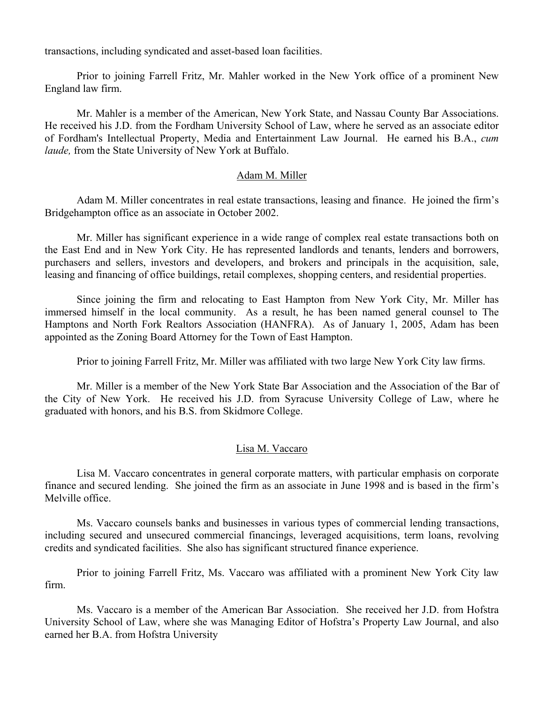transactions, including syndicated and asset-based loan facilities.

 Prior to joining Farrell Fritz, Mr. Mahler worked in the New York office of a prominent New England law firm.

 Mr. Mahler is a member of the American, New York State, and Nassau County Bar Associations. He received his J.D. from the Fordham University School of Law, where he served as an associate editor of Fordham's Intellectual Property, Media and Entertainment Law Journal. He earned his B.A., *cum laude,* from the State University of New York at Buffalo.

### Adam M. Miller

 Adam M. Miller concentrates in real estate transactions, leasing and finance. He joined the firm's Bridgehampton office as an associate in October 2002.

 Mr. Miller has significant experience in a wide range of complex real estate transactions both on the East End and in New York City. He has represented landlords and tenants, lenders and borrowers, purchasers and sellers, investors and developers, and brokers and principals in the acquisition, sale, leasing and financing of office buildings, retail complexes, shopping centers, and residential properties.

 Since joining the firm and relocating to East Hampton from New York City, Mr. Miller has immersed himself in the local community. As a result, he has been named general counsel to The Hamptons and North Fork Realtors Association (HANFRA). As of January 1, 2005, Adam has been appointed as the Zoning Board Attorney for the Town of East Hampton.

Prior to joining Farrell Fritz, Mr. Miller was affiliated with two large New York City law firms.

 Mr. Miller is a member of the New York State Bar Association and the Association of the Bar of the City of New York. He received his J.D. from Syracuse University College of Law, where he graduated with honors, and his B.S. from Skidmore College.

## Lisa M. Vaccaro

 Lisa M. Vaccaro concentrates in general corporate matters, with particular emphasis on corporate finance and secured lending. She joined the firm as an associate in June 1998 and is based in the firm's Melville office.

 Ms. Vaccaro counsels banks and businesses in various types of commercial lending transactions, including secured and unsecured commercial financings, leveraged acquisitions, term loans, revolving credits and syndicated facilities. She also has significant structured finance experience.

 Prior to joining Farrell Fritz, Ms. Vaccaro was affiliated with a prominent New York City law firm.

 Ms. Vaccaro is a member of the American Bar Association. She received her J.D. from Hofstra University School of Law, where she was Managing Editor of Hofstra's Property Law Journal, and also earned her B.A. from Hofstra University